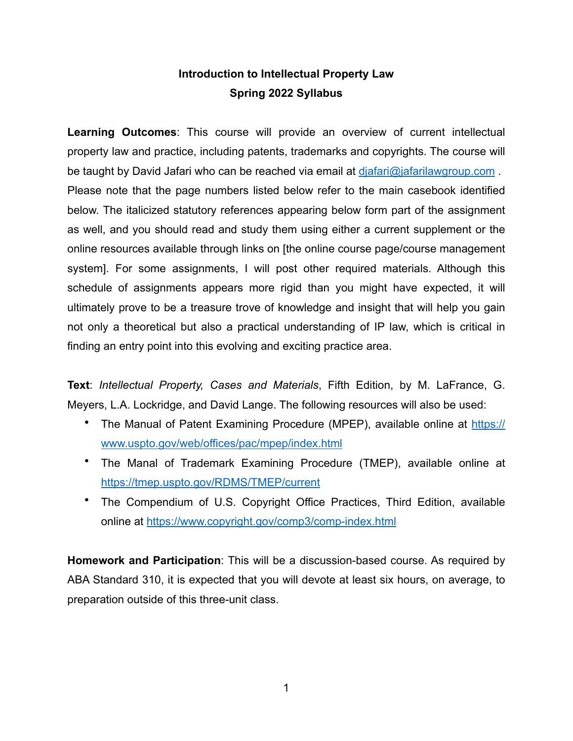# **Introduction to Intellectual Property Law Spring 2022 Syllabus**

**Learning Outcomes**: This course will provide an overview of current intellectual property law and practice, including patents, trademarks and copyrights. The course will be taught by David Jafari who can be reached via email at [djafari@jafarilawgroup.com](mailto:djafari@jafarilawgroup.com) . Please note that the page numbers listed below refer to the main casebook identified below. The italicized statutory references appearing below form part of the assignment as well, and you should read and study them using either a current supplement or the online resources available through links on [the online course page/course management system]. For some assignments, I will post other required materials. Although this schedule of assignments appears more rigid than you might have expected, it will ultimately prove to be a treasure trove of knowledge and insight that will help you gain not only a theoretical but also a practical understanding of IP law, which is critical in finding an entry point into this evolving and exciting practice area.

**Text**: *Intellectual Property, Cases and Materials*, Fifth Edition, by M. LaFrance, G. Meyers, L.A. Lockridge, and David Lange. The following resources will also be used:

- The Manual of Patent Examining Procedure (MPEP), available online at [https://](https://www.uspto.gov/web/offices/pac/mpep/index.html) [www.uspto.gov/web/offices/pac/mpep/index.html](https://www.uspto.gov/web/offices/pac/mpep/index.html)
- The Manal of Trademark Examining Procedure (TMEP), available online at <https://tmep.uspto.gov/RDMS/TMEP/current>
- The Compendium of U.S. Copyright Office Practices, Third Edition, available online at <https://www.copyright.gov/comp3/comp-index.html>

**Homework and Participation**: This will be a discussion-based course. As required by ABA Standard 310, it is expected that you will devote at least six hours, on average, to preparation outside of this three-unit class.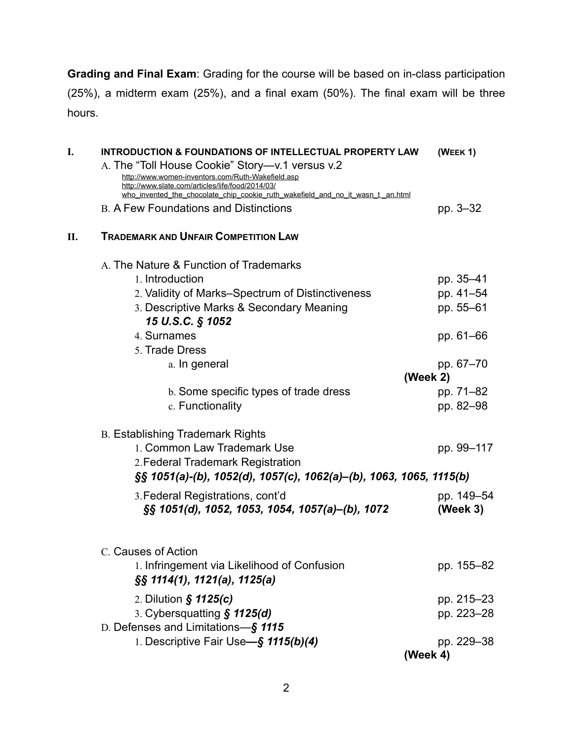**Grading and Final Exam**: Grading for the course will be based on in-class participation (25%), a midterm exam (25%), and a final exam (50%). The final exam will be three hours.

| I. | <b>INTRODUCTION &amp; FOUNDATIONS OF INTELLECTUAL PROPERTY LAW</b>                                                                 | (WEEK 1)   |  |  |  |  |
|----|------------------------------------------------------------------------------------------------------------------------------------|------------|--|--|--|--|
|    | A. The "Toll House Cookie" Story-v.1 versus v.2                                                                                    |            |  |  |  |  |
|    | http://www.women-inventors.com/Ruth-Wakefield.asp                                                                                  |            |  |  |  |  |
|    | http://www.slate.com/articles/life/food/2014/03/<br>who_invented_the_chocolate_chip_cookie_ruth_wakefield_and_no_it_wasn_t_an.html |            |  |  |  |  |
|    | <b>B. A Few Foundations and Distinctions</b>                                                                                       | pp. 3–32   |  |  |  |  |
|    |                                                                                                                                    |            |  |  |  |  |
| П. | <b>TRADEMARK AND UNFAIR COMPETITION LAW</b>                                                                                        |            |  |  |  |  |
|    | A. The Nature & Function of Trademarks                                                                                             |            |  |  |  |  |
|    | 1. Introduction                                                                                                                    | pp. 35-41  |  |  |  |  |
|    | 2. Validity of Marks-Spectrum of Distinctiveness                                                                                   | pp. 41-54  |  |  |  |  |
|    | 3. Descriptive Marks & Secondary Meaning                                                                                           | pp. 55-61  |  |  |  |  |
|    | 15 U.S.C. § 1052                                                                                                                   |            |  |  |  |  |
|    | 4. Surnames                                                                                                                        | pp. 61–66  |  |  |  |  |
|    | 5. Trade Dress                                                                                                                     |            |  |  |  |  |
|    | a. In general                                                                                                                      | pp. 67-70  |  |  |  |  |
|    |                                                                                                                                    | (Week $2)$ |  |  |  |  |
|    | b. Some specific types of trade dress                                                                                              | pp. 71-82  |  |  |  |  |
|    | c. Functionality                                                                                                                   | pp. 82-98  |  |  |  |  |
|    | <b>B. Establishing Trademark Rights</b>                                                                                            |            |  |  |  |  |
|    | 1. Common Law Trademark Use                                                                                                        | pp. 99-117 |  |  |  |  |
|    | 2. Federal Trademark Registration                                                                                                  |            |  |  |  |  |
|    | $\S$ § 1051(a)-(b), 1052(d), 1057(c), 1062(a)–(b), 1063, 1065, 1115(b)                                                             |            |  |  |  |  |
|    |                                                                                                                                    |            |  |  |  |  |
|    | 3. Federal Registrations, cont'd                                                                                                   | pp. 149-54 |  |  |  |  |
|    | §§ 1051(d), 1052, 1053, 1054, 1057(a)–(b), 1072                                                                                    | (Week 3)   |  |  |  |  |
|    | C. Causes of Action                                                                                                                |            |  |  |  |  |
|    | 1. Infringement via Likelihood of Confusion                                                                                        | pp. 155-82 |  |  |  |  |
|    | $\S$ § 1114(1), 1121(a), 1125(a)                                                                                                   |            |  |  |  |  |
|    | 2. Dilution $\hat{\mathbf{S}}$ 1125(c)                                                                                             | pp. 215-23 |  |  |  |  |
|    | 3. Cybersquatting § 1125(d)                                                                                                        | pp. 223-28 |  |  |  |  |
|    | D. Defenses and Limitations-§ 1115                                                                                                 |            |  |  |  |  |
|    | 1. Descriptive Fair Use-§ 1115(b)(4)                                                                                               | pp. 229-38 |  |  |  |  |
|    |                                                                                                                                    | (Week 4)   |  |  |  |  |
|    |                                                                                                                                    |            |  |  |  |  |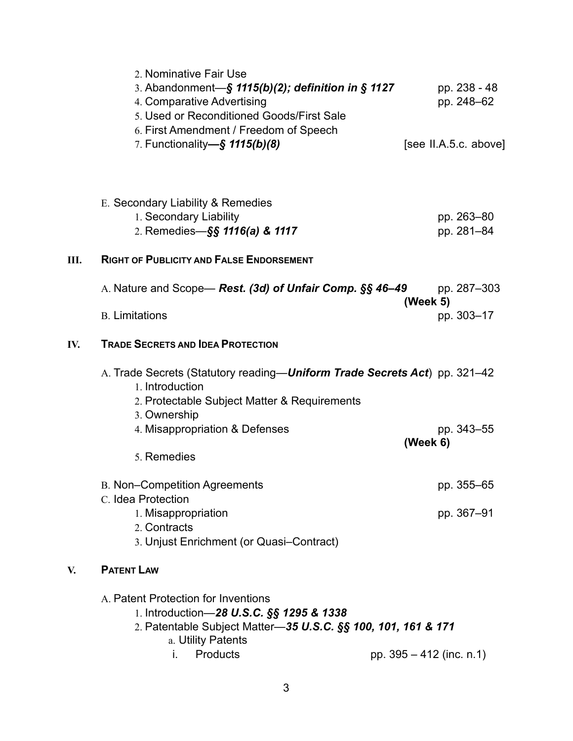|     | 2. Nominative Fair Use<br>3. Abandonment- $\S$ 1115(b)(2); definition in $\S$ 1127<br>4. Comparative Advertising<br>5. Used or Reconditioned Goods/First Sale<br>6. First Amendment / Freedom of Speech<br>7. Functionality-§ 1115(b)(8) |          | pp. 238 - 48<br>pp. 248-62<br>[see II.A.5.c. above] |
|-----|------------------------------------------------------------------------------------------------------------------------------------------------------------------------------------------------------------------------------------------|----------|-----------------------------------------------------|
| Ш.  | E. Secondary Liability & Remedies<br>1. Secondary Liability<br>2. Remedies-§§ 1116(a) & 1117<br><b>RIGHT OF PUBLICITY AND FALSE ENDORSEMENT</b>                                                                                          |          | pp. 263-80<br>pp. 281-84                            |
|     | A. Nature and Scope— Rest. (3d) of Unfair Comp. §§ 46-49<br><b>B.</b> Limitations                                                                                                                                                        | (Week 5) | pp. 287-303<br>pp. 303-17                           |
| IV. | <b>TRADE SECRETS AND IDEA PROTECTION</b>                                                                                                                                                                                                 |          |                                                     |
|     | A. Trade Secrets (Statutory reading-Uniform Trade Secrets Act) pp. 321-42<br>1. Introduction<br>2. Protectable Subject Matter & Requirements<br>3. Ownership<br>4. Misappropriation & Defenses<br>5. Remedies                            | (Week 6) | pp. 343-55                                          |
|     | <b>B. Non-Competition Agreements</b>                                                                                                                                                                                                     |          | pp. 355-65                                          |
|     | C. Idea Protection<br>1. Misappropriation<br>2. Contracts<br>3. Unjust Enrichment (or Quasi-Contract)                                                                                                                                    |          | pp. 367-91                                          |
| V.  | <b>PATENT LAW</b>                                                                                                                                                                                                                        |          |                                                     |
|     | A. Patent Protection for Inventions<br>1. Introduction-28 U.S.C. §§ 1295 & 1338<br>2. Patentable Subject Matter-35 U.S.C. §§ 100, 101, 161 & 171<br>a. Utility Patents<br>Products<br>pp. 395 - 412 (inc. n.1)<br>i.                     |          |                                                     |
|     |                                                                                                                                                                                                                                          |          |                                                     |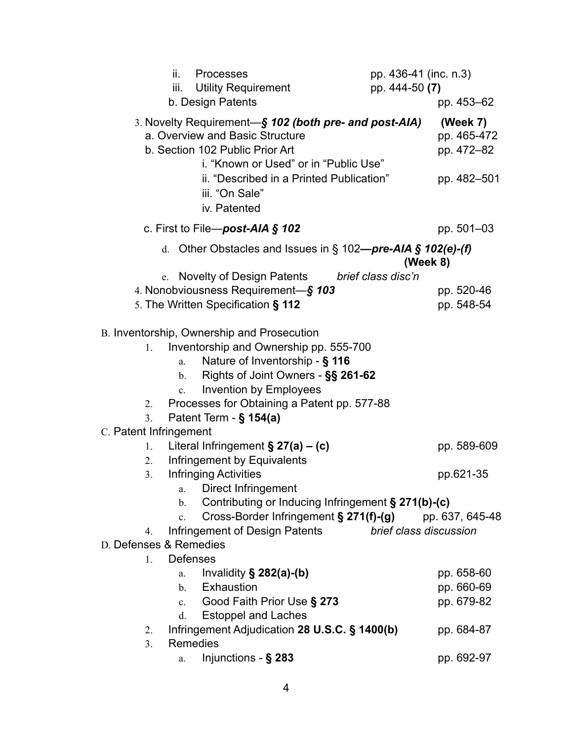| ii.<br><b>Processes</b>                                                                                                                                                                                                                                                                                                                                                                                                                          | pp. 436-41 (inc. n.3)        |  |
|--------------------------------------------------------------------------------------------------------------------------------------------------------------------------------------------------------------------------------------------------------------------------------------------------------------------------------------------------------------------------------------------------------------------------------------------------|------------------------------|--|
| <b>Utility Requirement</b><br>iii.<br>b. Design Patents                                                                                                                                                                                                                                                                                                                                                                                          | pp. 444-50 (7)<br>pp. 453–62 |  |
| 3. Novelty Requirement-S 102 (both pre- and post-AIA)                                                                                                                                                                                                                                                                                                                                                                                            | (Week 7)                     |  |
| a. Overview and Basic Structure                                                                                                                                                                                                                                                                                                                                                                                                                  | pp. 465-472                  |  |
| b. Section 102 Public Prior Art                                                                                                                                                                                                                                                                                                                                                                                                                  | pp. 472-82                   |  |
| i. "Known or Used" or in "Public Use"                                                                                                                                                                                                                                                                                                                                                                                                            |                              |  |
| ii. "Described in a Printed Publication"                                                                                                                                                                                                                                                                                                                                                                                                         | pp. 482-501                  |  |
| iii. "On Sale"                                                                                                                                                                                                                                                                                                                                                                                                                                   |                              |  |
| iv. Patented                                                                                                                                                                                                                                                                                                                                                                                                                                     |                              |  |
| c. First to File-post-AIA $\S$ 102                                                                                                                                                                                                                                                                                                                                                                                                               | pp. 501-03                   |  |
| d. Other Obstacles and Issues in $\S$ 102-pre-AIA $\S$ 102(e)-(f)                                                                                                                                                                                                                                                                                                                                                                                | (Week 8)                     |  |
| e. Novelty of Design Patents                                                                                                                                                                                                                                                                                                                                                                                                                     | brief class disc'n           |  |
| 4. Nonobviousness Requirement-§ 103                                                                                                                                                                                                                                                                                                                                                                                                              | pp. 520-46                   |  |
| 5. The Written Specification § 112                                                                                                                                                                                                                                                                                                                                                                                                               | pp. 548-54                   |  |
| B. Inventorship, Ownership and Prosecution<br>Inventorship and Ownership pp. 555-700<br>1.<br>Nature of Inventorship - § 116<br>a.<br>Rights of Joint Owners - §§ 261-62<br>$\mathbf{b}$ .<br><b>Invention by Employees</b><br>$\mathbf{c}$ .<br>Processes for Obtaining a Patent pp. 577-88<br>2.<br>Patent Term - § 154(a)<br>3.<br>C. Patent Infringement<br>Literal Infringement $\S 27(a) - (c)$<br>1.<br>Infringement by Equivalents<br>2. | pp. 589-609                  |  |
| <b>Infringing Activities</b><br>3.                                                                                                                                                                                                                                                                                                                                                                                                               | pp.621-35                    |  |
| a. Direct Infringement                                                                                                                                                                                                                                                                                                                                                                                                                           |                              |  |
| Contributing or Inducing Infringement § 271(b)-(c)<br>b.                                                                                                                                                                                                                                                                                                                                                                                         |                              |  |
| Cross-Border Infringement § 271(f)-(g)<br>C <sub>1</sub>                                                                                                                                                                                                                                                                                                                                                                                         | pp. 637, 645-48              |  |
| Infringement of Design Patents<br>4.                                                                                                                                                                                                                                                                                                                                                                                                             | brief class discussion       |  |
| D. Defenses & Remedies                                                                                                                                                                                                                                                                                                                                                                                                                           |                              |  |
| Defenses<br>$\mathbf{1}$ .                                                                                                                                                                                                                                                                                                                                                                                                                       |                              |  |
| Invalidity $\S$ 282(a)-(b)<br>a.                                                                                                                                                                                                                                                                                                                                                                                                                 | pp. 658-60                   |  |
| Exhaustion<br>$\mathbf{b}$ .                                                                                                                                                                                                                                                                                                                                                                                                                     | pp. 660-69                   |  |
| Good Faith Prior Use § 273<br>$c_{\cdot}$                                                                                                                                                                                                                                                                                                                                                                                                        | pp. 679-82                   |  |
| <b>Estoppel and Laches</b><br>d.                                                                                                                                                                                                                                                                                                                                                                                                                 |                              |  |
| Infringement Adjudication 28 U.S.C. § 1400(b)<br>2.                                                                                                                                                                                                                                                                                                                                                                                              | pp. 684-87                   |  |
| Remedies<br>3.                                                                                                                                                                                                                                                                                                                                                                                                                                   |                              |  |
| Injunctions - $\S$ 283<br>a.                                                                                                                                                                                                                                                                                                                                                                                                                     | pp. 692-97                   |  |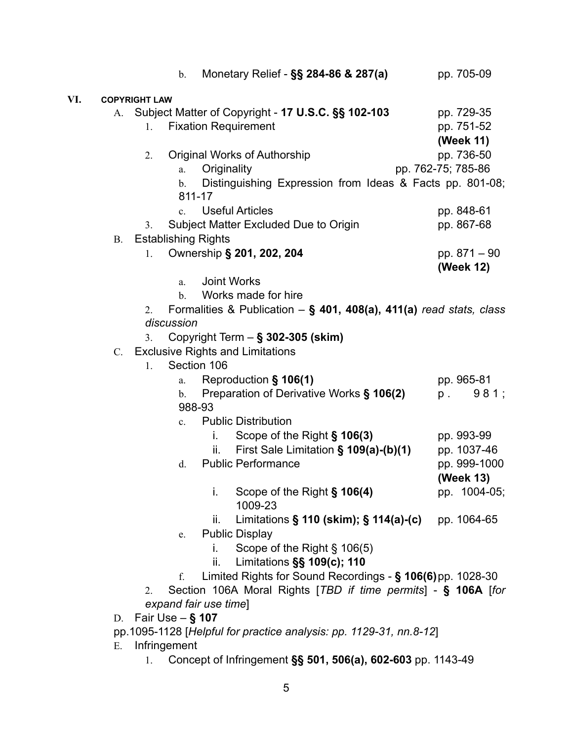|     |             | Monetary Relief - §§ 284-86 & 287(a)<br>$\mathbf b$ .                                                                                 | pp. 705-09                            |
|-----|-------------|---------------------------------------------------------------------------------------------------------------------------------------|---------------------------------------|
| VI. |             | <b>COPYRIGHT LAW</b>                                                                                                                  |                                       |
|     | A.          | Subject Matter of Copyright - 17 U.S.C. §§ 102-103<br><b>Fixation Requirement</b><br>1.                                               | pp. 729-35<br>pp. 751-52<br>(Week 11) |
|     |             | Original Works of Authorship<br>2.<br>Originality<br>a.<br>Distinguishing Expression from Ideas & Facts pp. 801-08;<br>$\mathbf{b}$ . | pp. 736-50<br>pp. 762-75; 785-86      |
|     |             | 811-17<br><b>Useful Articles</b><br>$c_{\cdot}$                                                                                       | pp. 848-61                            |
|     |             | Subject Matter Excluded Due to Origin<br>3.                                                                                           | pp. 867-68                            |
|     | <b>B.</b>   | <b>Establishing Rights</b>                                                                                                            |                                       |
|     |             | Ownership § 201, 202, 204<br>1.                                                                                                       | pp. 871 - 90<br>(Week 12)             |
|     |             | <b>Joint Works</b><br>a.                                                                                                              |                                       |
|     |             | Works made for hire<br>$\mathbf{b}$ .                                                                                                 |                                       |
|     |             | Formalities & Publication $-$ § 401, 408(a), 411(a) read stats, class<br>2.                                                           |                                       |
|     |             | discussion                                                                                                                            |                                       |
|     |             | Copyright Term - § 302-305 (skim)<br>3.                                                                                               |                                       |
|     | $C_{\cdot}$ | <b>Exclusive Rights and Limitations</b>                                                                                               |                                       |
|     |             | Section 106<br>1.                                                                                                                     |                                       |
|     |             | Reproduction § 106(1)<br>a.<br>Preparation of Derivative Works § 106(2)                                                               | pp. 965-81<br>981;<br>$p$ .           |
|     |             | $\mathbf{b}$ .<br>988-93                                                                                                              |                                       |
|     |             | <b>Public Distribution</b><br>$\mathbf{c}$ .                                                                                          |                                       |
|     |             | i. Scope of the Right $\S$ 106(3)                                                                                                     | pp. 993-99                            |
|     |             | First Sale Limitation § 109(a)-(b)(1)<br>ii.                                                                                          | pp. 1037-46                           |
|     |             | <b>Public Performance</b><br>d.                                                                                                       | pp. 999-1000<br>(Week 13)             |
|     |             | i.<br>Scope of the Right § 106(4)<br>1009-23                                                                                          | pp. 1004-05;                          |
|     |             | Limitations $\S$ 110 (skim); $\S$ 114(a)-(c)<br>ii.                                                                                   | pp. 1064-65                           |
|     |             | <b>Public Display</b><br>e.                                                                                                           |                                       |
|     |             | Scope of the Right § 106(5)<br>İ.                                                                                                     |                                       |
|     |             | Limitations §§ 109(c); 110<br>ii.                                                                                                     |                                       |
|     |             | Limited Rights for Sound Recordings - § 106(6) pp. 1028-30<br>f.                                                                      |                                       |
|     |             | Section 106A Moral Rights [TBD if time permits] - § 106A [for<br>2.                                                                   |                                       |
|     |             | expand fair use time]                                                                                                                 |                                       |
|     | D.          | Fair Use $-$ § 107                                                                                                                    |                                       |
|     |             | pp.1095-1128 [Helpful for practice analysis: pp. 1129-31, nn.8-12]                                                                    |                                       |
|     | Е.          | Infringement                                                                                                                          |                                       |
|     |             | Concept of Infringement §§ 501, 506(a), 602-603 pp. 1143-49                                                                           |                                       |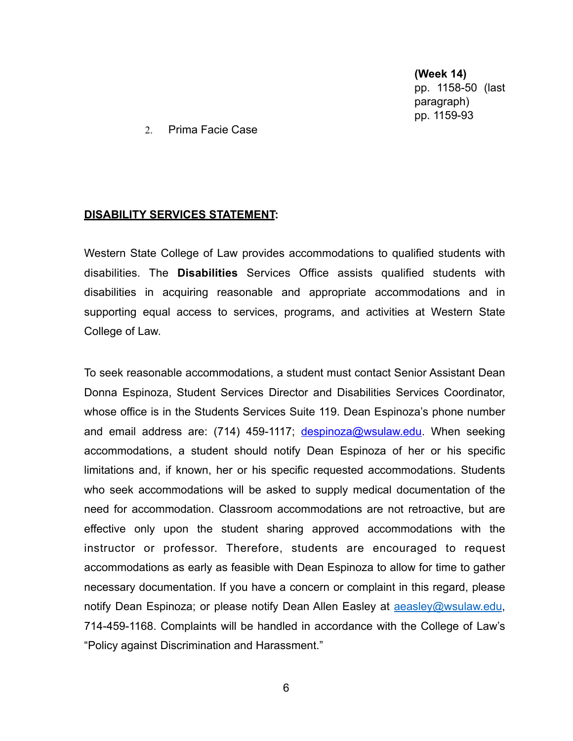**(Week 14)** pp. 1158-50 (last paragraph) pp. 1159-93

2. Prima Facie Case

#### **DISABILITY SERVICES STATEMENT:**

Western State College of Law provides accommodations to qualified students with disabilities. The **Disabilities** Services Office assists qualified students with disabilities in acquiring reasonable and appropriate accommodations and in supporting equal access to services, programs, and activities at Western State College of Law.

To seek reasonable accommodations, a student must contact Senior Assistant Dean Donna Espinoza, Student Services Director and Disabilities Services Coordinator, whose office is in the Students Services Suite 119. Dean Espinoza's phone number and email address are: (714) 459-1117; [despinoza@wsulaw.edu.](mailto:despinoza@wsulaw.edu) When seeking accommodations, a student should notify Dean Espinoza of her or his specific limitations and, if known, her or his specific requested accommodations. Students who seek accommodations will be asked to supply medical documentation of the need for accommodation. Classroom accommodations are not retroactive, but are effective only upon the student sharing approved accommodations with the instructor or professor. Therefore, students are encouraged to request accommodations as early as feasible with Dean Espinoza to allow for time to gather necessary documentation. If you have a concern or complaint in this regard, please notify Dean Espinoza; or please notify Dean Allen Easley at **aeasley@wsulaw.edu**, 714-459-1168. Complaints will be handled in accordance with the College of Law's "Policy against Discrimination and Harassment."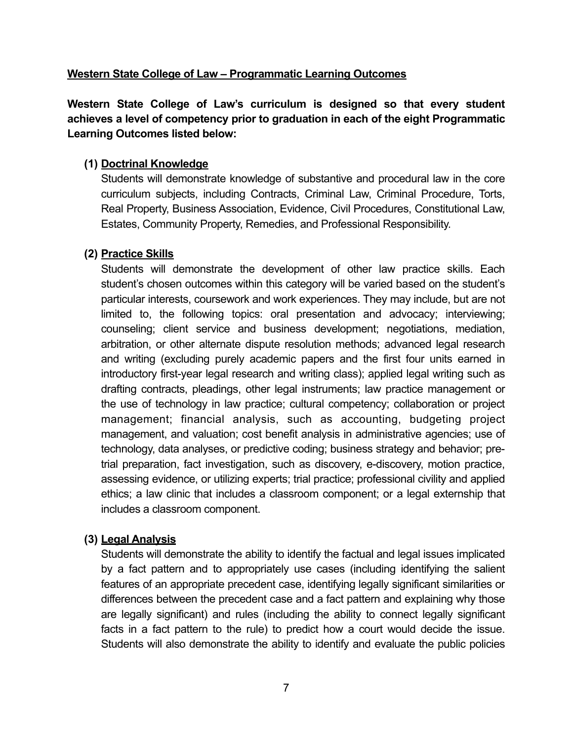# **Western State College of Law – Programmatic Learning Outcomes**

**Western State College of Law's curriculum is designed so that every student achieves a level of competency prior to graduation in each of the eight Programmatic Learning Outcomes listed below:**

## **(1) Doctrinal Knowledge**

Students will demonstrate knowledge of substantive and procedural law in the core curriculum subjects, including Contracts, Criminal Law, Criminal Procedure, Torts, Real Property, Business Association, Evidence, Civil Procedures, Constitutional Law, Estates, Community Property, Remedies, and Professional Responsibility.

## **(2) Practice Skills**

Students will demonstrate the development of other law practice skills. Each student's chosen outcomes within this category will be varied based on the student's particular interests, coursework and work experiences. They may include, but are not limited to, the following topics: oral presentation and advocacy; interviewing; counseling; client service and business development; negotiations, mediation, arbitration, or other alternate dispute resolution methods; advanced legal research and writing (excluding purely academic papers and the first four units earned in introductory first-year legal research and writing class); applied legal writing such as drafting contracts, pleadings, other legal instruments; law practice management or the use of technology in law practice; cultural competency; collaboration or project management; financial analysis, such as accounting, budgeting project management, and valuation; cost benefit analysis in administrative agencies; use of technology, data analyses, or predictive coding; business strategy and behavior; pretrial preparation, fact investigation, such as discovery, e-discovery, motion practice, assessing evidence, or utilizing experts; trial practice; professional civility and applied ethics; a law clinic that includes a classroom component; or a legal externship that includes a classroom component.

# **(3) Legal Analysis**

Students will demonstrate the ability to identify the factual and legal issues implicated by a fact pattern and to appropriately use cases (including identifying the salient features of an appropriate precedent case, identifying legally significant similarities or differences between the precedent case and a fact pattern and explaining why those are legally significant) and rules (including the ability to connect legally significant facts in a fact pattern to the rule) to predict how a court would decide the issue. Students will also demonstrate the ability to identify and evaluate the public policies